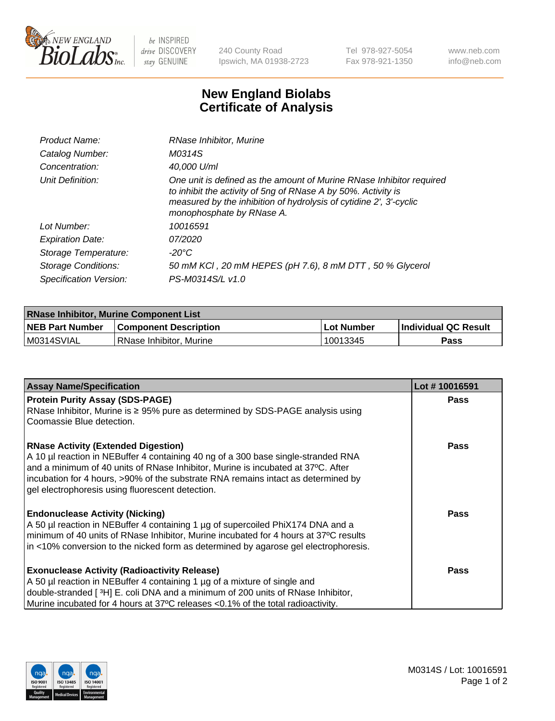

 $be$  INSPIRED drive DISCOVERY stay GENUINE

240 County Road Ipswich, MA 01938-2723 Tel 978-927-5054 Fax 978-921-1350 www.neb.com info@neb.com

## **New England Biolabs Certificate of Analysis**

| Product Name:              | RNase Inhibitor, Murine                                                                                                                                                                                                                  |
|----------------------------|------------------------------------------------------------------------------------------------------------------------------------------------------------------------------------------------------------------------------------------|
| Catalog Number:            | M0314S                                                                                                                                                                                                                                   |
| Concentration:             | 40,000 U/ml                                                                                                                                                                                                                              |
| Unit Definition:           | One unit is defined as the amount of Murine RNase Inhibitor required<br>to inhibit the activity of 5ng of RNase A by 50%. Activity is<br>measured by the inhibition of hydrolysis of cytidine 2', 3'-cyclic<br>monophosphate by RNase A. |
| Lot Number:                | 10016591                                                                                                                                                                                                                                 |
| <b>Expiration Date:</b>    | 07/2020                                                                                                                                                                                                                                  |
| Storage Temperature:       | -20°C                                                                                                                                                                                                                                    |
| <b>Storage Conditions:</b> | 50 mM KCl, 20 mM HEPES (pH 7.6), 8 mM DTT, 50 % Glycerol                                                                                                                                                                                 |
| Specification Version:     | PS-M0314S/L v1.0                                                                                                                                                                                                                         |

| <b>RNase Inhibitor, Murine Component List</b> |                              |            |                             |  |  |
|-----------------------------------------------|------------------------------|------------|-----------------------------|--|--|
| <b>NEB Part Number</b>                        | <b>Component Description</b> | Lot Number | <b>Individual QC Result</b> |  |  |
| M0314SVIAL                                    | l RNase Inhibitor. Murine    | 10013345   | Pass                        |  |  |

| <b>Assay Name/Specification</b>                                                                                                 | Lot #10016591 |
|---------------------------------------------------------------------------------------------------------------------------------|---------------|
| <b>Protein Purity Assay (SDS-PAGE)</b>                                                                                          | <b>Pass</b>   |
| RNase Inhibitor, Murine is ≥ 95% pure as determined by SDS-PAGE analysis using                                                  |               |
| Coomassie Blue detection.                                                                                                       |               |
| <b>RNase Activity (Extended Digestion)</b><br>A 10 µl reaction in NEBuffer 4 containing 40 ng of a 300 base single-stranded RNA | Pass          |
| and a minimum of 40 units of RNase Inhibitor, Murine is incubated at 37°C. After                                                |               |
| incubation for 4 hours, >90% of the substrate RNA remains intact as determined by                                               |               |
| gel electrophoresis using fluorescent detection.                                                                                |               |
| <b>Endonuclease Activity (Nicking)</b>                                                                                          | Pass          |
| A 50 µl reaction in NEBuffer 4 containing 1 µg of supercoiled PhiX174 DNA and a                                                 |               |
| minimum of 40 units of RNase Inhibitor, Murine incubated for 4 hours at 37°C results                                            |               |
| in <10% conversion to the nicked form as determined by agarose gel electrophoresis.                                             |               |
| <b>Exonuclease Activity (Radioactivity Release)</b>                                                                             | Pass          |
| A 50 µl reaction in NEBuffer 4 containing 1 µg of a mixture of single and                                                       |               |
| double-stranded [3H] E. coli DNA and a minimum of 200 units of RNase Inhibitor,                                                 |               |
| Murine incubated for 4 hours at 37°C releases <0.1% of the total radioactivity.                                                 |               |